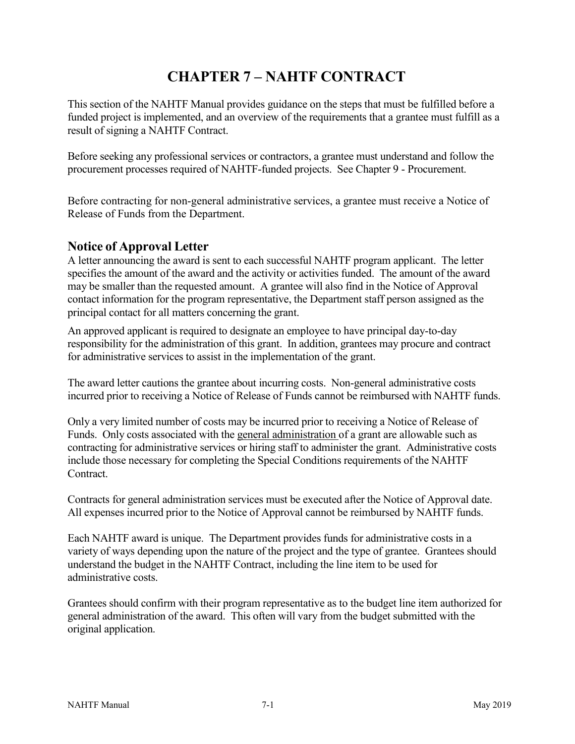## **CHAPTER 7 – NAHTF CONTRACT**

This section of the NAHTF Manual provides guidance on the steps that must be fulfilled before a funded project is implemented, and an overview of the requirements that a grantee must fulfill as a result of signing a NAHTF Contract.

Before seeking any professional services or contractors, a grantee must understand and follow the procurement processes required of NAHTF-funded projects. See Chapter 9 - Procurement.

Before contracting for non-general administrative services, a grantee must receive a Notice of Release of Funds from the Department.

## **Notice of Approval Letter**

A letter announcing the award is sent to each successful NAHTF program applicant. The letter specifies the amount of the award and the activity or activities funded. The amount of the award may be smaller than the requested amount. A grantee will also find in the Notice of Approval contact information for the program representative, the Department staff person assigned as the principal contact for all matters concerning the grant.

An approved applicant is required to designate an employee to have principal day-to-day responsibility for the administration of this grant. In addition, grantees may procure and contract for administrative services to assist in the implementation of the grant.

The award letter cautions the grantee about incurring costs. Non-general administrative costs incurred prior to receiving a Notice of Release of Funds cannot be reimbursed with NAHTF funds.

Only a very limited number of costs may be incurred prior to receiving a Notice of Release of Funds. Only costs associated with the general administration of a grant are allowable such as contracting for administrative services or hiring staff to administer the grant. Administrative costs include those necessary for completing the Special Conditions requirements of the NAHTF Contract.

Contracts for general administration services must be executed after the Notice of Approval date. All expenses incurred prior to the Notice of Approval cannot be reimbursed by NAHTF funds.

Each NAHTF award is unique. The Department provides funds for administrative costs in a variety of ways depending upon the nature of the project and the type of grantee. Grantees should understand the budget in the NAHTF Contract, including the line item to be used for administrative costs.

Grantees should confirm with their program representative as to the budget line item authorized for general administration of the award. This often will vary from the budget submitted with the original application.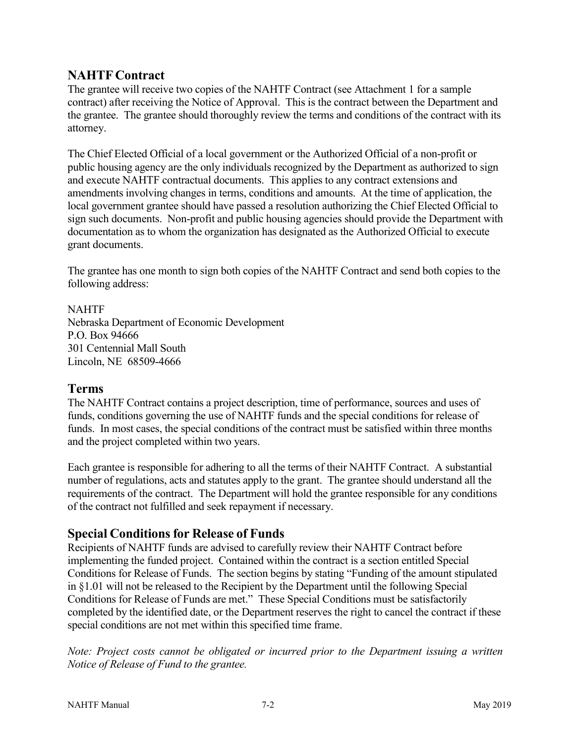## **NAHTF Contract**

The grantee will receive two copies of the NAHTF Contract (see Attachment 1 for a sample contract) after receiving the Notice of Approval. This is the contract between the Department and the grantee. The grantee should thoroughly review the terms and conditions of the contract with its attorney.

The Chief Elected Official of a local government or the Authorized Official of a non-profit or public housing agency are the only individuals recognized by the Department as authorized to sign and execute NAHTF contractual documents. This applies to any contract extensions and amendments involving changes in terms, conditions and amounts. At the time of application, the local government grantee should have passed a resolution authorizing the Chief Elected Official to sign such documents. Non-profit and public housing agencies should provide the Department with documentation as to whom the organization has designated as the Authorized Official to execute grant documents.

The grantee has one month to sign both copies of the NAHTF Contract and send both copies to the following address:

#### NAHTF

Nebraska Department of Economic Development P.O. Box 94666 301 Centennial Mall South Lincoln, NE 68509-4666

## **Terms**

The NAHTF Contract contains a project description, time of performance, sources and uses of funds, conditions governing the use of NAHTF funds and the special conditions for release of funds. In most cases, the special conditions of the contract must be satisfied within three months and the project completed within two years.

Each grantee is responsible for adhering to all the terms of their NAHTF Contract. A substantial number of regulations, acts and statutes apply to the grant. The grantee should understand all the requirements of the contract. The Department will hold the grantee responsible for any conditions of the contract not fulfilled and seek repayment if necessary.

## **Special Conditions for Release of Funds**

Recipients of NAHTF funds are advised to carefully review their NAHTF Contract before implementing the funded project. Contained within the contract is a section entitled Special Conditions for Release of Funds. The section begins by stating "Funding of the amount stipulated in §1.01 will not be released to the Recipient by the Department until the following Special Conditions for Release of Funds are met." These Special Conditions must be satisfactorily completed by the identified date, or the Department reserves the right to cancel the contract if these special conditions are not met within this specified time frame.

*Note: Project costs cannot be obligated or incurred prior to the Department issuing a written Notice of Release of Fund to the grantee.*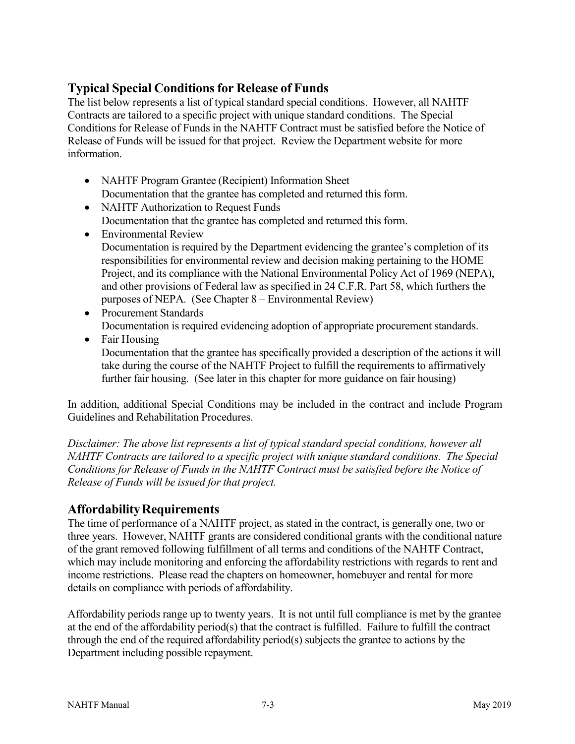## **Typical Special Conditionsfor Release of Funds**

The list below represents a list of typical standard special conditions. However, all NAHTF Contracts are tailored to a specific project with unique standard conditions. The Special Conditions for Release of Funds in the NAHTF Contract must be satisfied before the Notice of Release of Funds will be issued for that project. Review the Department website for more information.

- NAHTF Program Grantee (Recipient) Information Sheet Documentation that the grantee has completed and returned this form.
- NAHTF Authorization to Request Funds Documentation that the grantee has completed and returned this form.
- Environmental Review Documentation is required by the Department evidencing the grantee's completion of its responsibilities for environmental review and decision making pertaining to the HOME Project, and its compliance with the National Environmental Policy Act of 1969 (NEPA), and other provisions of Federal law as specified in 24 C.F.R. Part 58, which furthers the purposes of NEPA. (See Chapter 8 – Environmental Review)
- Procurement Standards Documentation is required evidencing adoption of appropriate procurement standards.
- Fair Housing Documentation that the grantee has specifically provided a description of the actions it will take during the course of the NAHTF Project to fulfill the requirements to affirmatively further fair housing. (See later in this chapter for more guidance on fair housing)

In addition, additional Special Conditions may be included in the contract and include Program Guidelines and Rehabilitation Procedures.

*Disclaimer: The above list represents a list of typical standard special conditions, however all NAHTF Contracts are tailored to a specific project with unique standard conditions. The Special Conditions for Release of Funds in the NAHTF Contract must be satisfied before the Notice of Release of Funds will be issued for that project.*

## **AffordabilityRequirements**

The time of performance of a NAHTF project, as stated in the contract, is generally one, two or three years. However, NAHTF grants are considered conditional grants with the conditional nature of the grant removed following fulfillment of all terms and conditions of the NAHTF Contract, which may include monitoring and enforcing the affordability restrictions with regards to rent and income restrictions. Please read the chapters on homeowner, homebuyer and rental for more details on compliance with periods of affordability.

Affordability periods range up to twenty years. It is not until full compliance is met by the grantee at the end of the affordability period(s) that the contract is fulfilled. Failure to fulfill the contract through the end of the required affordability period(s) subjects the grantee to actions by the Department including possible repayment.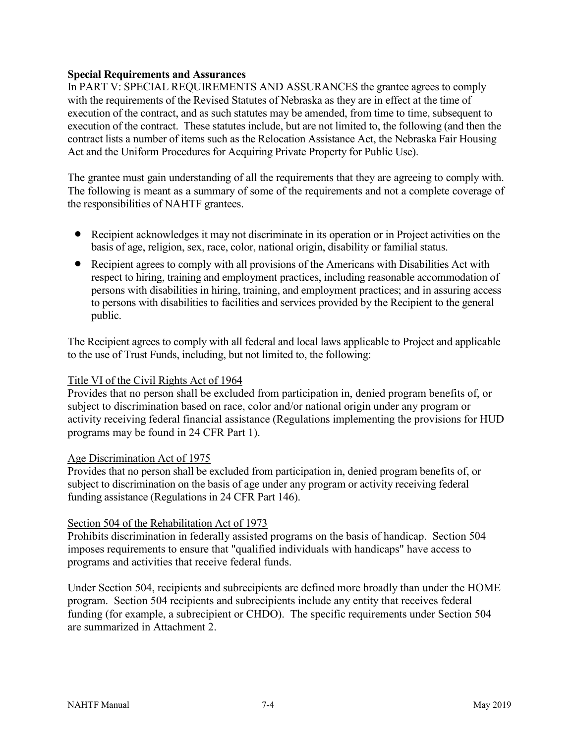#### **Special Requirements and Assurances**

In PART V: SPECIAL REQUIREMENTS AND ASSURANCES the grantee agrees to comply with the requirements of the Revised Statutes of Nebraska as they are in effect at the time of execution of the contract, and as such statutes may be amended, from time to time, subsequent to execution of the contract. These statutes include, but are not limited to, the following (and then the contract lists a number of items such as the Relocation Assistance Act, the Nebraska Fair Housing Act and the Uniform Procedures for Acquiring Private Property for Public Use).

The grantee must gain understanding of all the requirements that they are agreeing to comply with. The following is meant as a summary of some of the requirements and not a complete coverage of the responsibilities of NAHTF grantees.

- Recipient acknowledges it may not discriminate in its operation or in Project activities on the basis of age, religion, sex, race, color, national origin, disability or familial status.
- Recipient agrees to comply with all provisions of the Americans with Disabilities Act with respect to hiring, training and employment practices, including reasonable accommodation of persons with disabilities in hiring, training, and employment practices; and in assuring access to persons with disabilities to facilities and services provided by the Recipient to the general public.

The Recipient agrees to comply with all federal and local laws applicable to Project and applicable to the use of Trust Funds, including, but not limited to, the following:

#### Title VI of the Civil Rights Act of 1964

Provides that no person shall be excluded from participation in, denied program benefits of, or subject to discrimination based on race, color and/or national origin under any program or activity receiving federal financial assistance (Regulations implementing the provisions for HUD programs may be found in 24 CFR Part 1).

#### Age Discrimination Act of 1975

Provides that no person shall be excluded from participation in, denied program benefits of, or subject to discrimination on the basis of age under any program or activity receiving federal funding assistance (Regulations in 24 CFR Part 146).

#### Section 504 of the Rehabilitation Act of 1973

Prohibits discrimination in federally assisted programs on the basis of handicap. Section 504 imposes requirements to ensure that "qualified individuals with handicaps" have access to programs and activities that receive federal funds.

Under Section 504, recipients and subrecipients are defined more broadly than under the HOME program. Section 504 recipients and subrecipients include any entity that receives federal funding (for example, a subrecipient or CHDO). The specific requirements under Section 504 are summarized in Attachment 2.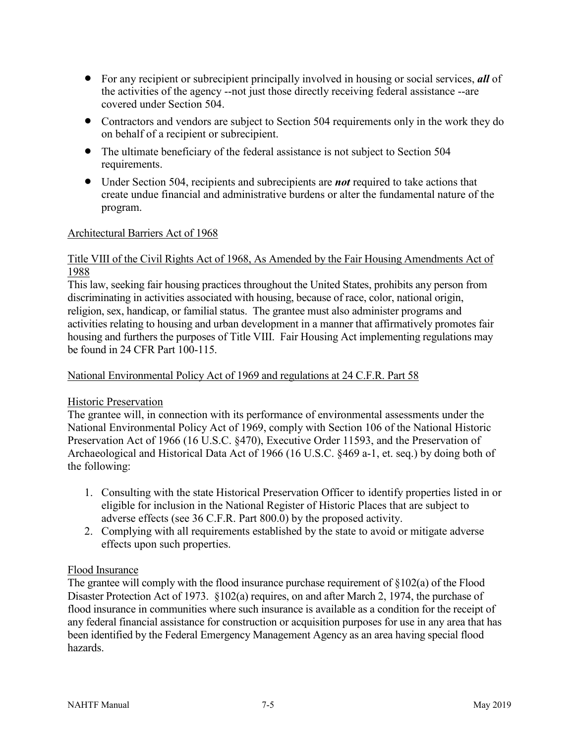- For any recipient or subrecipient principally involved in housing or social services, *all* of the activities of the agency --not just those directly receiving federal assistance --are covered under Section 504.
- Contractors and vendors are subject to Section 504 requirements only in the work they do on behalf of a recipient or subrecipient.
- The ultimate beneficiary of the federal assistance is not subject to Section 504 requirements.
- Under Section 504, recipients and subrecipients are *not* required to take actions that create undue financial and administrative burdens or alter the fundamental nature of the program.

#### Architectural Barriers Act of 1968

#### Title VIII of the Civil Rights Act of 1968, As Amended by the Fair Housing Amendments Act of 1988

This law, seeking fair housing practices throughout the United States, prohibits any person from discriminating in activities associated with housing, because of race, color, national origin, religion, sex, handicap, or familial status. The grantee must also administer programs and activities relating to housing and urban development in a manner that affirmatively promotes fair housing and furthers the purposes of Title VIII. Fair Housing Act implementing regulations may be found in 24 CFR Part 100-115.

#### National Environmental Policy Act of 1969 and regulations at 24 C.F.R. Part 58

#### Historic Preservation

The grantee will, in connection with its performance of environmental assessments under the National Environmental Policy Act of 1969, comply with Section 106 of the National Historic Preservation Act of 1966 (16 U.S.C. §470), Executive Order 11593, and the Preservation of Archaeological and Historical Data Act of 1966 (16 U.S.C. §469 a-1, et. seq.) by doing both of the following:

- 1. Consulting with the state Historical Preservation Officer to identify properties listed in or eligible for inclusion in the National Register of Historic Places that are subject to adverse effects (see 36 C.F.R. Part 800.0) by the proposed activity.
- 2. Complying with all requirements established by the state to avoid or mitigate adverse effects upon such properties.

#### Flood Insurance

The grantee will comply with the flood insurance purchase requirement of §102(a) of the Flood Disaster Protection Act of 1973. §102(a) requires, on and after March 2, 1974, the purchase of flood insurance in communities where such insurance is available as a condition for the receipt of any federal financial assistance for construction or acquisition purposes for use in any area that has been identified by the Federal Emergency Management Agency as an area having special flood hazards.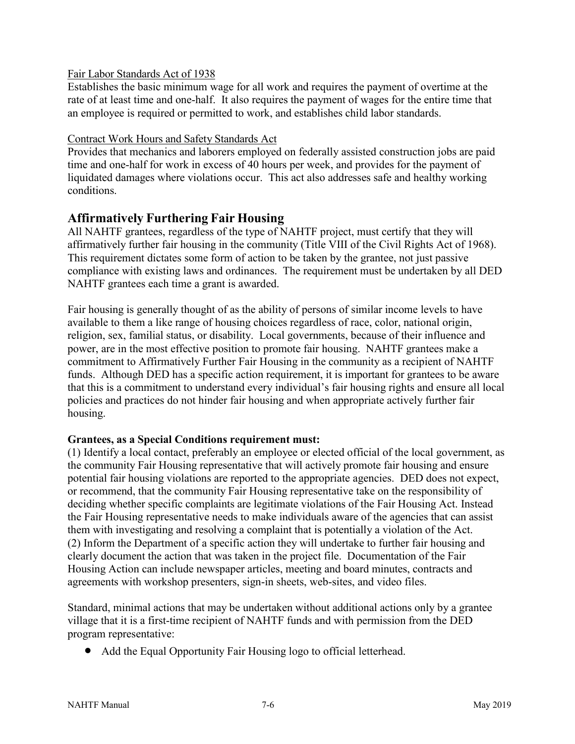#### Fair Labor Standards Act of 1938

Establishes the basic minimum wage for all work and requires the payment of overtime at the rate of at least time and one-half. It also requires the payment of wages for the entire time that an employee is required or permitted to work, and establishes child labor standards.

#### Contract Work Hours and Safety Standards Act

Provides that mechanics and laborers employed on federally assisted construction jobs are paid time and one-half for work in excess of 40 hours per week, and provides for the payment of liquidated damages where violations occur. This act also addresses safe and healthy working conditions.

## **Affirmatively Furthering Fair Housing**

All NAHTF grantees, regardless of the type of NAHTF project, must certify that they will affirmatively further fair housing in the community (Title VIII of the Civil Rights Act of 1968). This requirement dictates some form of action to be taken by the grantee, not just passive compliance with existing laws and ordinances. The requirement must be undertaken by all DED NAHTF grantees each time a grant is awarded.

Fair housing is generally thought of as the ability of persons of similar income levels to have available to them a like range of housing choices regardless of race, color, national origin, religion, sex, familial status, or disability. Local governments, because of their influence and power, are in the most effective position to promote fair housing. NAHTF grantees make a commitment to Affirmatively Further Fair Housing in the community as a recipient of NAHTF funds. Although DED has a specific action requirement, it is important for grantees to be aware that this is a commitment to understand every individual's fair housing rights and ensure all local policies and practices do not hinder fair housing and when appropriate actively further fair housing.

#### **Grantees, as a Special Conditions requirement must:**

(1) Identify a local contact, preferably an employee or elected official of the local government, as the community Fair Housing representative that will actively promote fair housing and ensure potential fair housing violations are reported to the appropriate agencies. DED does not expect, or recommend, that the community Fair Housing representative take on the responsibility of deciding whether specific complaints are legitimate violations of the Fair Housing Act. Instead the Fair Housing representative needs to make individuals aware of the agencies that can assist them with investigating and resolving a complaint that is potentially a violation of the Act. (2) Inform the Department of a specific action they will undertake to further fair housing and clearly document the action that was taken in the project file. Documentation of the Fair Housing Action can include newspaper articles, meeting and board minutes, contracts and agreements with workshop presenters, sign-in sheets, web-sites, and video files.

Standard, minimal actions that may be undertaken without additional actions only by a grantee village that it is a first-time recipient of NAHTF funds and with permission from the DED program representative:

• Add the Equal Opportunity Fair Housing logo to official letterhead.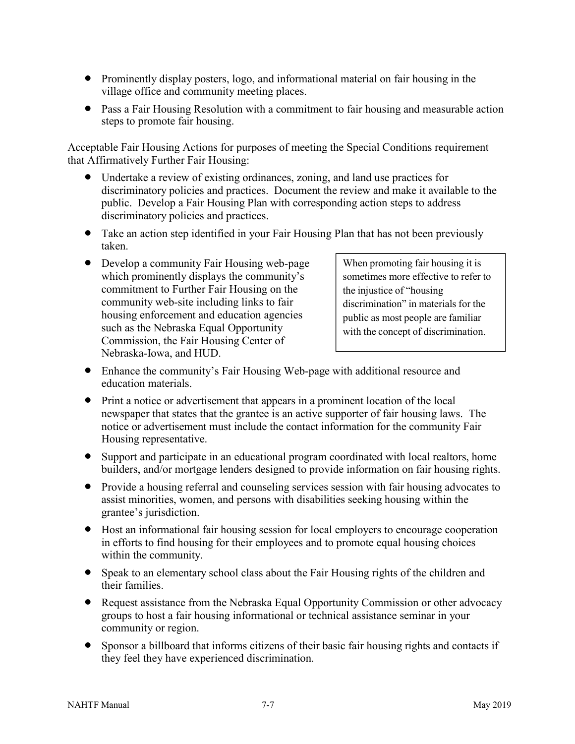- Prominently display posters, logo, and informational material on fair housing in the village office and community meeting places.
- Pass a Fair Housing Resolution with a commitment to fair housing and measurable action steps to promote fair housing.

Acceptable Fair Housing Actions for purposes of meeting the Special Conditions requirement that Affirmatively Further Fair Housing:

- Undertake a review of existing ordinances, zoning, and land use practices for discriminatory policies and practices. Document the review and make it available to the public. Develop a Fair Housing Plan with corresponding action steps to address discriminatory policies and practices.
- Take an action step identified in your Fair Housing Plan that has not been previously taken.
- Develop a community Fair Housing web-page which prominently displays the community's commitment to Further Fair Housing on the community web-site including links to fair housing enforcement and education agencies such as the Nebraska Equal Opportunity Commission, the Fair Housing Center of Nebraska-Iowa, and HUD.

When promoting fair housing it is sometimes more effective to refer to the injustice of "housing discrimination" in materials for the public as most people are familiar with the concept of discrimination.

- Enhance the community's Fair Housing Web-page with additional resource and education materials.
- Print a notice or advertisement that appears in a prominent location of the local newspaper that states that the grantee is an active supporter of fair housing laws. The notice or advertisement must include the contact information for the community Fair Housing representative.
- Support and participate in an educational program coordinated with local realtors, home builders, and/or mortgage lenders designed to provide information on fair housing rights.
- Provide a housing referral and counseling services session with fair housing advocates to assist minorities, women, and persons with disabilities seeking housing within the grantee's jurisdiction.
- Host an informational fair housing session for local employers to encourage cooperation in efforts to find housing for their employees and to promote equal housing choices within the community.
- Speak to an elementary school class about the Fair Housing rights of the children and their families.
- Request assistance from the Nebraska Equal Opportunity Commission or other advocacy groups to host a fair housing informational or technical assistance seminar in your community or region.
- Sponsor a billboard that informs citizens of their basic fair housing rights and contacts if they feel they have experienced discrimination.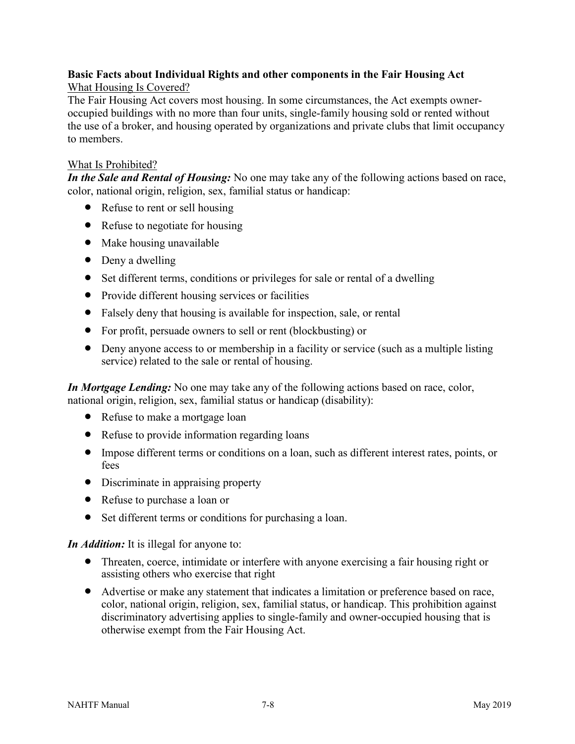#### **Basic Facts about Individual Rights and other components in the Fair Housing Act** What Housing Is Covered?

The Fair Housing Act covers most housing. In some circumstances, the Act exempts owneroccupied buildings with no more than four units, single-family housing sold or rented without the use of a broker, and housing operated by organizations and private clubs that limit occupancy to members.

#### What Is Prohibited?

*In the Sale and Rental of Housing:* No one may take any of the following actions based on race, color, national origin, religion, sex, familial status or handicap:

- Refuse to rent or sell housing
- Refuse to negotiate for housing
- Make housing unavailable
- Deny a dwelling
- Set different terms, conditions or privileges for sale or rental of a dwelling
- Provide different housing services or facilities
- Falsely deny that housing is available for inspection, sale, or rental
- For profit, persuade owners to sell or rent (blockbusting) or
- Deny anyone access to or membership in a facility or service (such as a multiple listing service) related to the sale or rental of housing.

*In Mortgage Lending:* No one may take any of the following actions based on race, color, national origin, religion, sex, familial status or handicap (disability):

- Refuse to make a mortgage loan
- Refuse to provide information regarding loans
- Impose different terms or conditions on a loan, such as different interest rates, points, or fees
- Discriminate in appraising property
- Refuse to purchase a loan or
- Set different terms or conditions for purchasing a loan.

*In Addition:* It is illegal for anyone to:

- Threaten, coerce, intimidate or interfere with anyone exercising a fair housing right or assisting others who exercise that right
- Advertise or make any statement that indicates a limitation or preference based on race, color, national origin, religion, sex, familial status, or handicap. This prohibition against discriminatory advertising applies to single-family and owner-occupied housing that is otherwise exempt from the Fair Housing Act.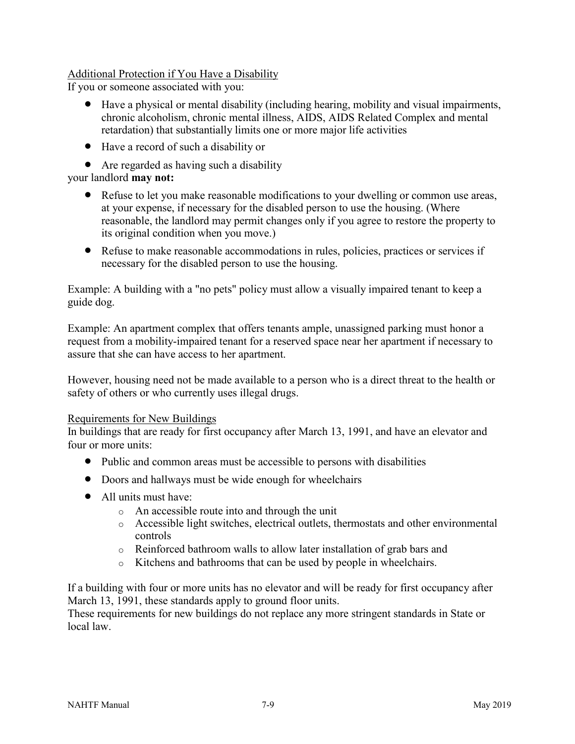#### Additional Protection if You Have a Disability

If you or someone associated with you:

- Have a physical or mental disability (including hearing, mobility and visual impairments, chronic alcoholism, chronic mental illness, AIDS, AIDS Related Complex and mental retardation) that substantially limits one or more major life activities
- Have a record of such a disability or
- Are regarded as having such a disability

## your landlord **may not:**

- Refuse to let you make reasonable modifications to your dwelling or common use areas, at your expense, if necessary for the disabled person to use the housing. (Where reasonable, the landlord may permit changes only if you agree to restore the property to its original condition when you move.)
- Refuse to make reasonable accommodations in rules, policies, practices or services if necessary for the disabled person to use the housing.

Example: A building with a "no pets" policy must allow a visually impaired tenant to keep a guide dog.

Example: An apartment complex that offers tenants ample, unassigned parking must honor a request from a mobility-impaired tenant for a reserved space near her apartment if necessary to assure that she can have access to her apartment.

However, housing need not be made available to a person who is a direct threat to the health or safety of others or who currently uses illegal drugs.

#### Requirements for New Buildings

In buildings that are ready for first occupancy after March 13, 1991, and have an elevator and four or more units:

- Public and common areas must be accessible to persons with disabilities
- Doors and hallways must be wide enough for wheelchairs
- All units must have:
	- o An accessible route into and through the unit
	- o Accessible light switches, electrical outlets, thermostats and other environmental controls
	- o Reinforced bathroom walls to allow later installation of grab bars and
	- o Kitchens and bathrooms that can be used by people in wheelchairs.

If a building with four or more units has no elevator and will be ready for first occupancy after March 13, 1991, these standards apply to ground floor units.

These requirements for new buildings do not replace any more stringent standards in State or local law.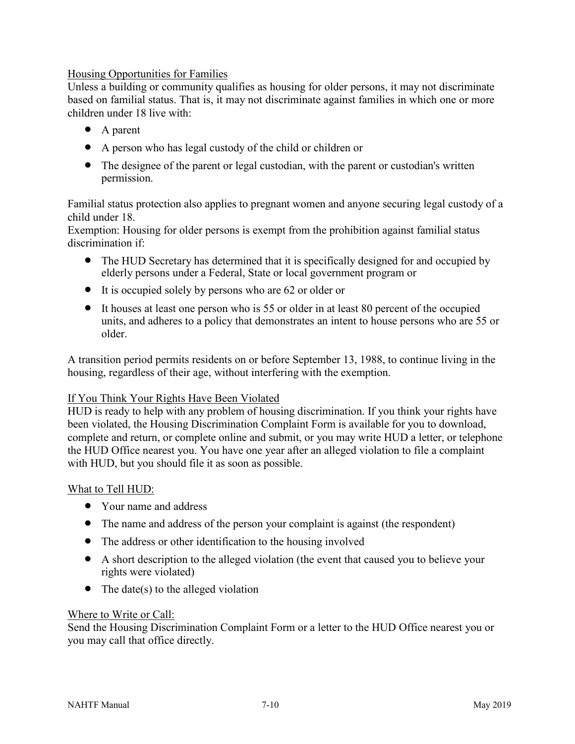#### Housing Opportunities for Families

Unless a building or community qualifies as housing for older persons, it may not discriminate based on familial status. That is, it may not discriminate against families in which one or more children under 18 live with:

- A parent
- A person who has legal custody of the child or children or
- The designee of the parent or legal custodian, with the parent or custodian's written permission.

Familial status protection also applies to pregnant women and anyone securing legal custody of a child under 18.

Exemption: Housing for older persons is exempt from the prohibition against familial status discrimination if:

- The HUD Secretary has determined that it is specifically designed for and occupied by elderly persons under a Federal, State or local government program or
- It is occupied solely by persons who are 62 or older or
- It houses at least one person who is 55 or older in at least 80 percent of the occupied units, and adheres to a policy that demonstrates an intent to house persons who are 55 or older.

A transition period permits residents on or before September 13, 1988, to continue living in the housing, regardless of their age, without interfering with the exemption.

#### If You Think Your Rights Have Been Violated

HUD is ready to help with any problem of housing discrimination. If you think your rights have been violated, the Housing Discrimination Complaint Form is available for you to download, complete and return, or complete online and submit, or you may write HUD a letter, or telephone the HUD Office nearest you. You have one year after an alleged violation to file a complaint with HUD, but you should file it as soon as possible.

#### What to Tell HUD:

- Your name and address
- The name and address of the person your complaint is against (the respondent)
- The address or other identification to the housing involved
- A short description to the alleged violation (the event that caused you to believe your rights were violated)
- The date(s) to the alleged violation

#### Where to Write or Call:

Send the Housing Discrimination Complaint Form or a letter to the HUD Office nearest you or you may call that office directly.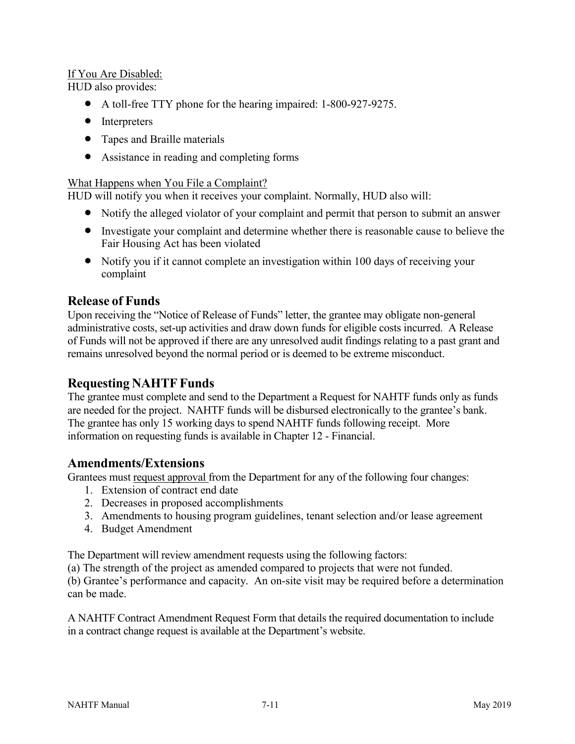#### If You Are Disabled:

HUD also provides:

- A toll-free TTY phone for the hearing impaired: 1-800-927-9275.
- Interpreters
- Tapes and Braille materials
- Assistance in reading and completing forms

#### What Happens when You File a Complaint?

HUD will notify you when it receives your complaint. Normally, HUD also will:

- Notify the alleged violator of your complaint and permit that person to submit an answer
- Investigate your complaint and determine whether there is reasonable cause to believe the Fair Housing Act has been violated
- Notify you if it cannot complete an investigation within 100 days of receiving your complaint

## **Release of Funds**

Upon receiving the "Notice of Release of Funds" letter, the grantee may obligate non-general administrative costs, set-up activities and draw down funds for eligible costs incurred. A Release of Funds will not be approved if there are any unresolved audit findings relating to a past grant and remains unresolved beyond the normal period or is deemed to be extreme misconduct.

## **Requesting NAHTF Funds**

The grantee must complete and send to the Department a Request for NAHTF funds only as funds are needed for the project. NAHTF funds will be disbursed electronically to the grantee's bank. The grantee has only 15 working days to spend NAHTF funds following receipt. More information on requesting funds is available in Chapter 12 - Financial.

#### **Amendments/Extensions**

Grantees must request approval from the Department for any of the following four changes:

- 1. Extension of contract end date
- 2. Decreases in proposed accomplishments
- 3. Amendments to housing program guidelines, tenant selection and/or lease agreement
- 4. Budget Amendment

The Department will review amendment requests using the following factors:

(a) The strength of the project as amended compared to projects that were not funded.

(b) Grantee's performance and capacity. An on-site visit may be required before a determination can be made.

A NAHTF Contract Amendment Request Form that details the required documentation to include in a contract change request is available at the Department's website.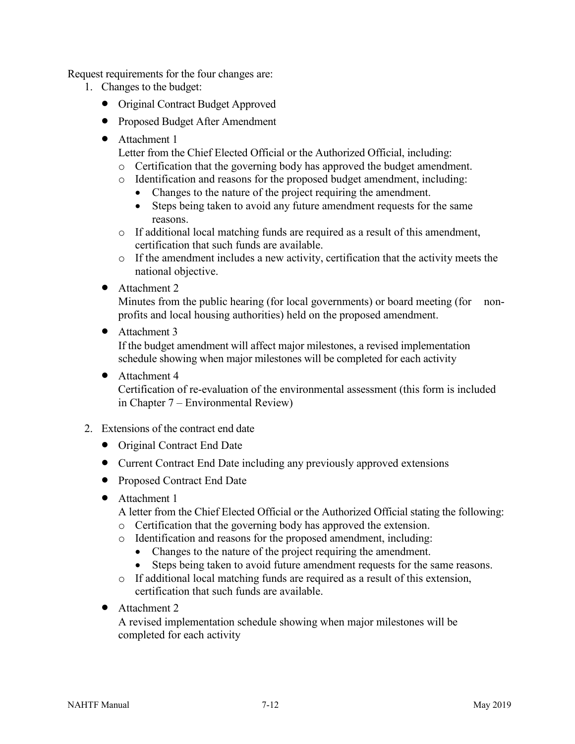Request requirements for the four changes are:

- 1. Changes to the budget:
	- Original Contract Budget Approved
	- Proposed Budget After Amendment
	- Attachment 1
		- Letter from the Chief Elected Official or the Authorized Official, including:
		- o Certification that the governing body has approved the budget amendment.
		- o Identification and reasons for the proposed budget amendment, including:
			- Changes to the nature of the project requiring the amendment.
			- Steps being taken to avoid any future amendment requests for the same reasons.
		- o If additional local matching funds are required as a result of this amendment, certification that such funds are available.
		- o If the amendment includes a new activity, certification that the activity meets the national objective.
	- Attachment 2

Minutes from the public hearing (for local governments) or board meeting (for nonprofits and local housing authorities) held on the proposed amendment.

• Attachment 3

If the budget amendment will affect major milestones, a revised implementation schedule showing when major milestones will be completed for each activity

• Attachment 4

Certification of re-evaluation of the environmental assessment (this form is included in Chapter 7 – Environmental Review)

- 2. Extensions of the contract end date
	- Original Contract End Date
	- Current Contract End Date including any previously approved extensions
	- Proposed Contract End Date
	- Attachment 1

A letter from the Chief Elected Official or the Authorized Official stating the following:

- o Certification that the governing body has approved the extension.
- o Identification and reasons for the proposed amendment, including:
	- Changes to the nature of the project requiring the amendment.
	- Steps being taken to avoid future amendment requests for the same reasons.
- $\circ$  If additional local matching funds are required as a result of this extension, certification that such funds are available.
- Attachment 2

A revised implementation schedule showing when major milestones will be completed for each activity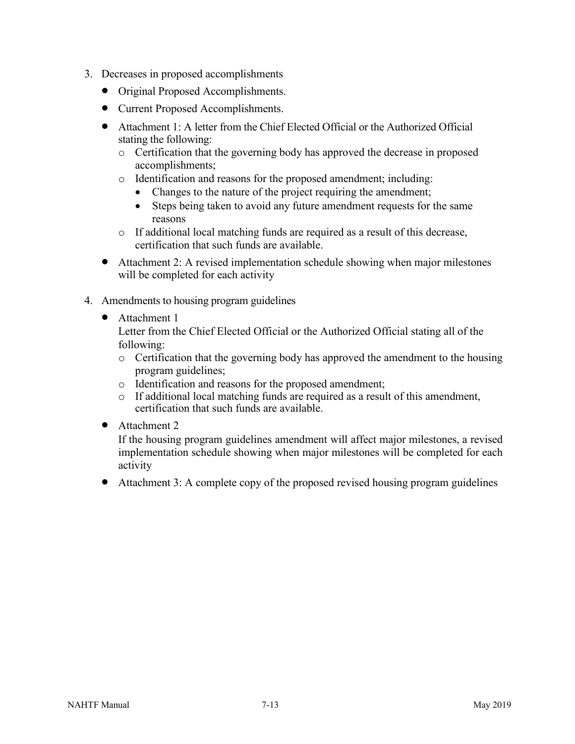- 3. Decreases in proposed accomplishments
	- Original Proposed Accomplishments.
	- Current Proposed Accomplishments.
	- Attachment 1: A letter from the Chief Elected Official or the Authorized Official stating the following:
		- o Certification that the governing body has approved the decrease in proposed accomplishments;
		- o Identification and reasons for the proposed amendment; including:
			- Changes to the nature of the project requiring the amendment;
			- Steps being taken to avoid any future amendment requests for the same reasons
		- o If additional local matching funds are required as a result of this decrease, certification that such funds are available.
	- Attachment 2: A revised implementation schedule showing when major milestones will be completed for each activity
- 4. Amendments to housing program guidelines
	- Attachment 1

Letter from the Chief Elected Official or the Authorized Official stating all of the following:

- $\circ$  Certification that the governing body has approved the amendment to the housing program guidelines;
- o Identification and reasons for the proposed amendment;
- o If additional local matching funds are required as a result of this amendment, certification that such funds are available.
- Attachment 2

If the housing program guidelines amendment will affect major milestones, a revised implementation schedule showing when major milestones will be completed for each activity

• Attachment 3: A complete copy of the proposed revised housing program guidelines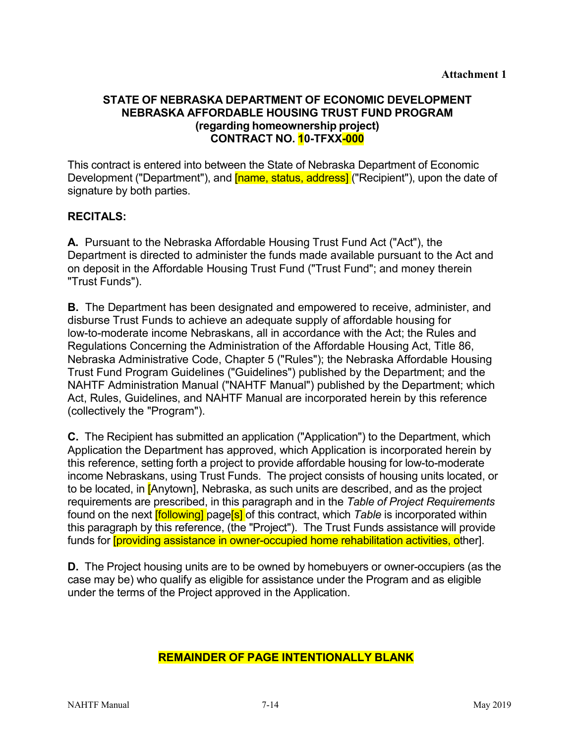#### **STATE OF NEBRASKA DEPARTMENT OF ECONOMIC DEVELOPMENT NEBRASKA AFFORDABLE HOUSING TRUST FUND PROGRAM (regarding homeownership project) CONTRACT NO. 10-TFXX-000**

This contract is entered into between the State of Nebraska Department of Economic Development ("Department"), and **[name, status, address]** ("Recipient"), upon the date of signature by both parties.

## **RECITALS:**

**A.** Pursuant to the Nebraska Affordable Housing Trust Fund Act ("Act"), the Department is directed to administer the funds made available pursuant to the Act and on deposit in the Affordable Housing Trust Fund ("Trust Fund"; and money therein "Trust Funds").

**B.** The Department has been designated and empowered to receive, administer, and disburse Trust Funds to achieve an adequate supply of affordable housing for low-to-moderate income Nebraskans, all in accordance with the Act; the Rules and Regulations Concerning the Administration of the Affordable Housing Act, Title 86, Nebraska Administrative Code, Chapter 5 ("Rules"); the Nebraska Affordable Housing Trust Fund Program Guidelines ("Guidelines") published by the Department; and the NAHTF Administration Manual ("NAHTF Manual") published by the Department; which Act, Rules, Guidelines, and NAHTF Manual are incorporated herein by this reference (collectively the "Program").

**C.** The Recipient has submitted an application ("Application") to the Department, which Application the Department has approved, which Application is incorporated herein by this reference, setting forth a project to provide affordable housing for low-to-moderate income Nebraskans, using Trust Funds. The project consists of housing units located, or to be located, in [Anytown], Nebraska, as such units are described, and as the project requirements are prescribed, in this paragraph and in the *Table of Project Requirements* found on the next **[following]** page<sup>[s]</sup> of this contract, which *Table* is incorporated within this paragraph by this reference, (the "Project"). The Trust Funds assistance will provide funds for **[providing assistance in owner-occupied home rehabilitation activities, other**].

**D.** The Project housing units are to be owned by homebuyers or owner-occupiers (as the case may be) who qualify as eligible for assistance under the Program and as eligible under the terms of the Project approved in the Application.

## **REMAINDER OF PAGE INTENTIONALLY BLANK**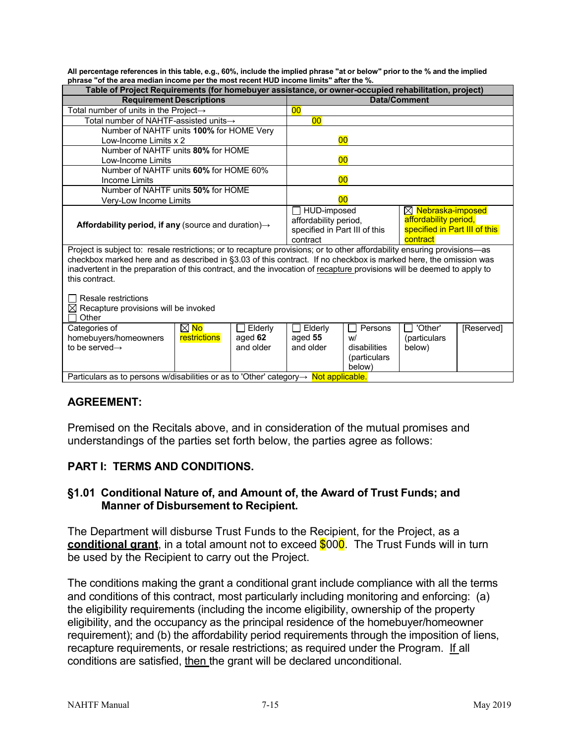All percentage references in this table, e.g., 60%, include the implied phrase "at or below" prior to the % and the implied **phrase "of the area median income per the most recent HUD income limits" after the %.**

| Table of Project Requirements (for homebuyer assistance, or owner-occupied rehabilitation, project)                                                                                                                                        |                |           |                               |                           |                               |            |
|--------------------------------------------------------------------------------------------------------------------------------------------------------------------------------------------------------------------------------------------|----------------|-----------|-------------------------------|---------------------------|-------------------------------|------------|
| <b>Requirement Descriptions</b>                                                                                                                                                                                                            |                |           | <b>Data/Comment</b>           |                           |                               |            |
| Total number of units in the Project $\rightarrow$                                                                                                                                                                                         |                |           | 00                            |                           |                               |            |
| Total number of NAHTF-assisted units $\rightarrow$                                                                                                                                                                                         |                |           | $00 \,$                       |                           |                               |            |
| Number of NAHTF units 100% for HOME Very                                                                                                                                                                                                   |                |           |                               |                           |                               |            |
| l ow-Income Limits x 2                                                                                                                                                                                                                     |                |           | 00                            |                           |                               |            |
| Number of NAHTF units 80% for HOME                                                                                                                                                                                                         |                |           |                               |                           |                               |            |
| Low-Income Limits                                                                                                                                                                                                                          |                |           | 00                            |                           |                               |            |
| Number of NAHTF units 60% for HOME 60%                                                                                                                                                                                                     |                |           |                               |                           |                               |            |
| Income Limits                                                                                                                                                                                                                              |                |           |                               | 00                        |                               |            |
| Number of NAHTF units 50% for HOME                                                                                                                                                                                                         |                |           |                               |                           |                               |            |
| Very-Low Income Limits                                                                                                                                                                                                                     |                |           | 00                            |                           |                               |            |
|                                                                                                                                                                                                                                            |                |           | HUD-imposed                   |                           | ⊠ Nebraska-imposed            |            |
| Affordability period, if any (source and duration) $\rightarrow$                                                                                                                                                                           |                |           | affordability period,         |                           | affordability period,         |            |
|                                                                                                                                                                                                                                            |                |           | specified in Part III of this |                           | specified in Part III of this |            |
|                                                                                                                                                                                                                                            |                |           | contract                      |                           | contract                      |            |
| Project is subject to: resale restrictions; or to recapture provisions; or to other affordability ensuring provisions—as                                                                                                                   |                |           |                               |                           |                               |            |
| checkbox marked here and as described in §3.03 of this contract. If no checkbox is marked here, the omission was<br>inadvertent in the preparation of this contract, and the invocation of recapture provisions will be deemed to apply to |                |           |                               |                           |                               |            |
| this contract.                                                                                                                                                                                                                             |                |           |                               |                           |                               |            |
|                                                                                                                                                                                                                                            |                |           |                               |                           |                               |            |
| Resale restrictions                                                                                                                                                                                                                        |                |           |                               |                           |                               |            |
| $\boxtimes$ Recapture provisions will be invoked                                                                                                                                                                                           |                |           |                               |                           |                               |            |
| Other                                                                                                                                                                                                                                      |                |           |                               |                           |                               |            |
| Categories of                                                                                                                                                                                                                              | $\boxtimes$ No | Elderly   | $\Box$ Elderly                | Persons<br>$\blacksquare$ | $\Box$ 'Other'                | [Reserved] |
| homebuyers/homeowners                                                                                                                                                                                                                      | restrictions   | aged 62   | aged 55                       | w/                        | (particulars                  |            |
| to be served $\rightarrow$                                                                                                                                                                                                                 |                | and older | and older                     | disabilities              | below)                        |            |
|                                                                                                                                                                                                                                            |                |           |                               | (particulars)             |                               |            |
|                                                                                                                                                                                                                                            |                |           |                               | below)                    |                               |            |
| Particulars as to persons w/disabilities or as to 'Other' category $\rightarrow$ Not applicable.                                                                                                                                           |                |           |                               |                           |                               |            |

## **AGREEMENT:**

Premised on the Recitals above, and in consideration of the mutual promises and understandings of the parties set forth below, the parties agree as follows:

## **PART I: TERMS AND CONDITIONS.**

#### **§1.01 Conditional Nature of, and Amount of, the Award of Trust Funds; and Manner of Disbursement to Recipient.**

The Department will disburse Trust Funds to the Recipient, for the Project, as a **conditional grant**, in a total amount not to exceed \$000. The Trust Funds will in turn be used by the Recipient to carry out the Project.

The conditions making the grant a conditional grant include compliance with all the terms and conditions of this contract, most particularly including monitoring and enforcing: (a) the eligibility requirements (including the income eligibility, ownership of the property eligibility, and the occupancy as the principal residence of the homebuyer/homeowner requirement); and (b) the affordability period requirements through the imposition of liens, recapture requirements, or resale restrictions; as required under the Program. If all conditions are satisfied, then the grant will be declared unconditional.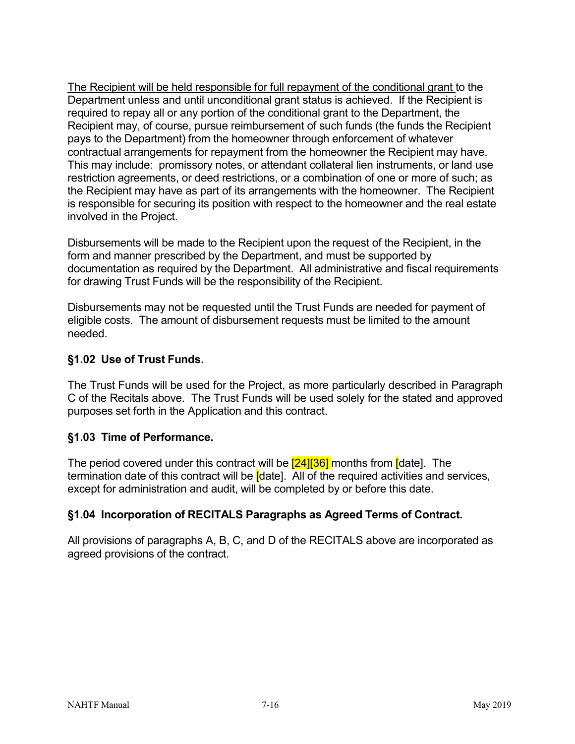The Recipient will be held responsible for full repayment of the conditional grant to the Department unless and until unconditional grant status is achieved. If the Recipient is required to repay all or any portion of the conditional grant to the Department, the Recipient may, of course, pursue reimbursement of such funds (the funds the Recipient pays to the Department) from the homeowner through enforcement of whatever contractual arrangements for repayment from the homeowner the Recipient may have. This may include: promissory notes, or attendant collateral lien instruments, or land use restriction agreements, or deed restrictions, or a combination of one or more of such; as the Recipient may have as part of its arrangements with the homeowner. The Recipient is responsible for securing its position with respect to the homeowner and the real estate involved in the Project.

Disbursements will be made to the Recipient upon the request of the Recipient, in the form and manner prescribed by the Department, and must be supported by documentation as required by the Department. All administrative and fiscal requirements for drawing Trust Funds will be the responsibility of the Recipient.

Disbursements may not be requested until the Trust Funds are needed for payment of eligible costs. The amount of disbursement requests must be limited to the amount needed.

## **§1.02 Use of Trust Funds.**

The Trust Funds will be used for the Project, as more particularly described in Paragraph C of the Recitals above. The Trust Funds will be used solely for the stated and approved purposes set forth in the Application and this contract.

## **§1.03 Time of Performance.**

The period covered under this contract will be  $[24][36]$  months from [date]. The termination date of this contract will be **[date]**. All of the required activities and services, except for administration and audit, will be completed by or before this date.

## **§1.04 Incorporation of RECITALS Paragraphs as Agreed Terms of Contract.**

All provisions of paragraphs A, B, C, and D of the RECITALS above are incorporated as agreed provisions of the contract.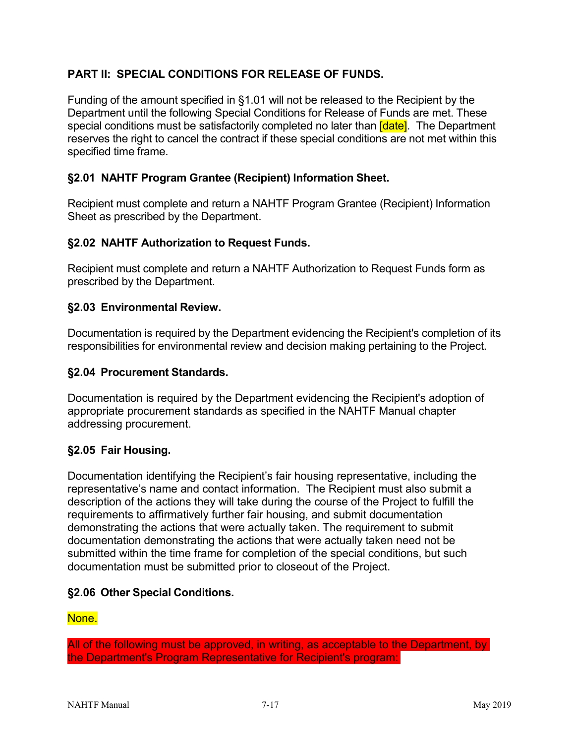## **PART II: SPECIAL CONDITIONS FOR RELEASE OF FUNDS.**

Funding of the amount specified in §1.01 will not be released to the Recipient by the Department until the following Special Conditions for Release of Funds are met. These special conditions must be satisfactorily completed no later than **[date]**. The Department reserves the right to cancel the contract if these special conditions are not met within this specified time frame.

## **§2.01 NAHTF Program Grantee (Recipient) Information Sheet.**

Recipient must complete and return a NAHTF Program Grantee (Recipient) Information Sheet as prescribed by the Department.

## **§2.02 NAHTF Authorization to Request Funds.**

Recipient must complete and return a NAHTF Authorization to Request Funds form as prescribed by the Department.

#### **§2.03 Environmental Review.**

Documentation is required by the Department evidencing the Recipient's completion of its responsibilities for environmental review and decision making pertaining to the Project.

#### **§2.04 Procurement Standards.**

Documentation is required by the Department evidencing the Recipient's adoption of appropriate procurement standards as specified in the NAHTF Manual chapter addressing procurement.

#### **§2.05 Fair Housing.**

Documentation identifying the Recipient's fair housing representative, including the representative's name and contact information. The Recipient must also submit a description of the actions they will take during the course of the Project to fulfill the requirements to affirmatively further fair housing, and submit documentation demonstrating the actions that were actually taken. The requirement to submit documentation demonstrating the actions that were actually taken need not be submitted within the time frame for completion of the special conditions, but such documentation must be submitted prior to closeout of the Project.

#### **§2.06 Other Special Conditions.**

#### None.

All of the following must be approved, in writing, as acceptable to the Department, by the Department's Program Representative for Recipient's program: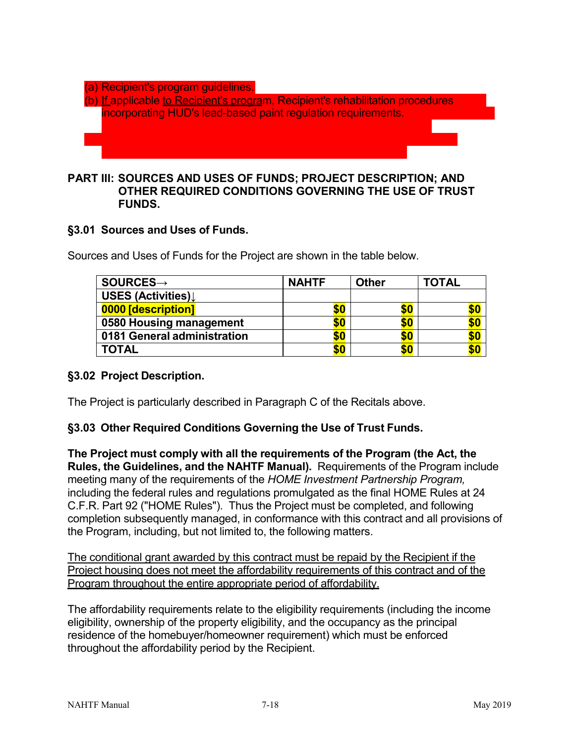

#### **PART III: SOURCES AND USES OF FUNDS; PROJECT DESCRIPTION; AND OTHER REQUIRED CONDITIONS GOVERNING THE USE OF TRUST FUNDS.**

#### **§3.01 Sources and Uses of Funds.**

Sources and Uses of Funds for the Project are shown in the table below.

| $SOURCES \rightarrow$       | <b>NAHTF</b> | <b>Other</b> | <b>TOTAL</b> |
|-----------------------------|--------------|--------------|--------------|
| <b>USES (Activities)</b>    |              |              |              |
| 0000 [description]          | \$0          | \$0          |              |
| 0580 Housing management     | \$0          | \$0          | \$C          |
| 0181 General administration | \$0          | \$0          | \$0          |
| <b>TOTAL</b>                | \$0          | \$0          |              |

## **§3.02 Project Description.**

The Project is particularly described in Paragraph C of the Recitals above.

#### **§3.03 Other Required Conditions Governing the Use of Trust Funds.**

**The Project must comply with all the requirements of the Program (the Act, the Rules, the Guidelines, and the NAHTF Manual).** Requirements of the Program include meeting many of the requirements of the *HOME Investment Partnership Program,* including the federal rules and regulations promulgated as the final HOME Rules at 24 C.F.R. Part 92 ("HOME Rules"). Thus the Project must be completed, and following completion subsequently managed, in conformance with this contract and all provisions of the Program, including, but not limited to, the following matters.

The conditional grant awarded by this contract must be repaid by the Recipient if the Project housing does not meet the affordability requirements of this contract and of the Program throughout the entire appropriate period of affordability.

The affordability requirements relate to the eligibility requirements (including the income eligibility, ownership of the property eligibility, and the occupancy as the principal residence of the homebuyer/homeowner requirement) which must be enforced throughout the affordability period by the Recipient.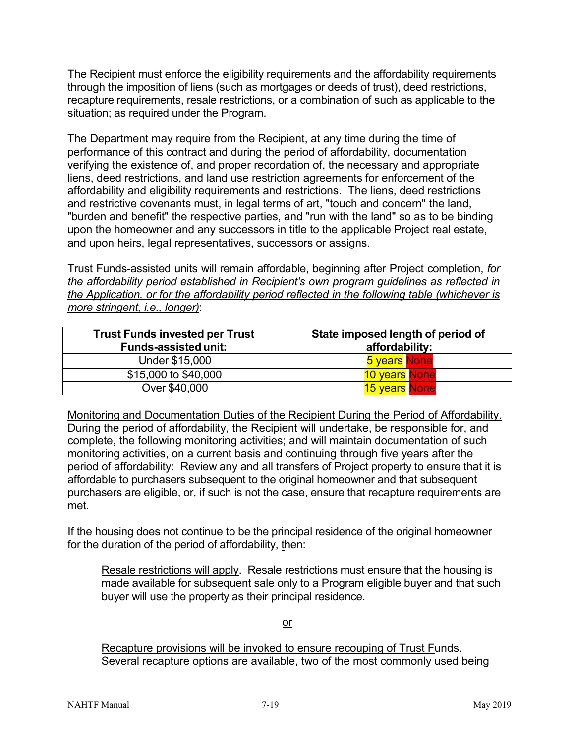The Recipient must enforce the eligibility requirements and the affordability requirements through the imposition of liens (such as mortgages or deeds of trust), deed restrictions, recapture requirements, resale restrictions, or a combination of such as applicable to the situation; as required under the Program.

The Department may require from the Recipient, at any time during the time of performance of this contract and during the period of affordability, documentation verifying the existence of, and proper recordation of, the necessary and appropriate liens, deed restrictions, and land use restriction agreements for enforcement of the affordability and eligibility requirements and restrictions. The liens, deed restrictions and restrictive covenants must, in legal terms of art, "touch and concern" the land, "burden and benefit" the respective parties, and "run with the land" so as to be binding upon the homeowner and any successors in title to the applicable Project real estate, and upon heirs, legal representatives, successors or assigns.

Trust Funds-assisted units will remain affordable, beginning after Project completion, *for the affordability period established in Recipient's own program guidelines as reflected in the Application, or for the affordability period reflected in the following table (whichever is more stringent, i.e., longer)*:

| <b>Trust Funds invested per Trust</b><br><b>Funds-assisted unit:</b> | State imposed length of period of<br>affordability: |
|----------------------------------------------------------------------|-----------------------------------------------------|
| Under \$15,000                                                       | <b>5 years None</b>                                 |
| \$15,000 to \$40,000                                                 | 10 years None                                       |
| Over \$40,000                                                        | <b>15 years None</b>                                |

Monitoring and Documentation Duties of the Recipient During the Period of Affordability. During the period of affordability, the Recipient will undertake, be responsible for, and complete, the following monitoring activities; and will maintain documentation of such monitoring activities, on a current basis and continuing through five years after the period of affordability: Review any and all transfers of Project property to ensure that it is affordable to purchasers subsequent to the original homeowner and that subsequent purchasers are eligible, or, if such is not the case, ensure that recapture requirements are met.

If the housing does not continue to be the principal residence of the original homeowner for the duration of the period of affordability, then:

Resale restrictions will apply. Resale restrictions must ensure that the housing is made available for subsequent sale only to a Program eligible buyer and that such buyer will use the property as their principal residence.

or

Recapture provisions will be invoked to ensure recouping of Trust Funds. Several recapture options are available, two of the most commonly used being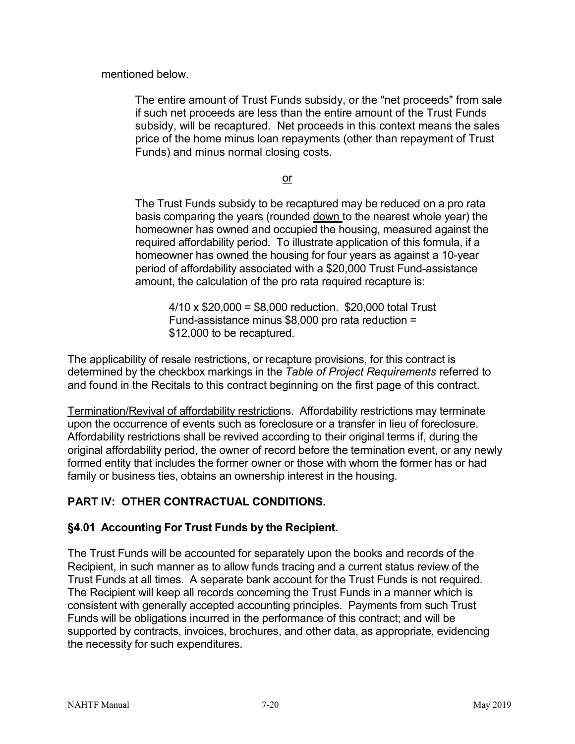mentioned below.

The entire amount of Trust Funds subsidy, or the "net proceeds" from sale if such net proceeds are less than the entire amount of the Trust Funds subsidy, will be recaptured. Net proceeds in this context means the sales price of the home minus loan repayments (other than repayment of Trust Funds) and minus normal closing costs.

#### or

The Trust Funds subsidy to be recaptured may be reduced on a pro rata basis comparing the years (rounded down to the nearest whole year) the homeowner has owned and occupied the housing, measured against the required affordability period. To illustrate application of this formula, if a homeowner has owned the housing for four years as against a 10-year period of affordability associated with a \$20,000 Trust Fund-assistance amount, the calculation of the pro rata required recapture is:

4/10 x \$20,000 = \$8,000 reduction. \$20,000 total Trust Fund-assistance minus \$8,000 pro rata reduction = \$12,000 to be recaptured.

The applicability of resale restrictions, or recapture provisions, for this contract is determined by the checkbox markings in the *Table of Project Requirements* referred to and found in the Recitals to this contract beginning on the first page of this contract.

Termination/Revival of affordability restrictions. Affordability restrictions may terminate upon the occurrence of events such as foreclosure or a transfer in lieu of foreclosure. Affordability restrictions shall be revived according to their original terms if, during the original affordability period, the owner of record before the termination event, or any newly formed entity that includes the former owner or those with whom the former has or had family or business ties, obtains an ownership interest in the housing.

## **PART IV: OTHER CONTRACTUAL CONDITIONS.**

## **§4.01 Accounting For Trust Funds by the Recipient.**

The Trust Funds will be accounted for separately upon the books and records of the Recipient, in such manner as to allow funds tracing and a current status review of the Trust Funds at all times. A separate bank account for the Trust Funds is not required. The Recipient will keep all records concerning the Trust Funds in a manner which is consistent with generally accepted accounting principles. Payments from such Trust Funds will be obligations incurred in the performance of this contract; and will be supported by contracts, invoices, brochures, and other data, as appropriate, evidencing the necessity for such expenditures.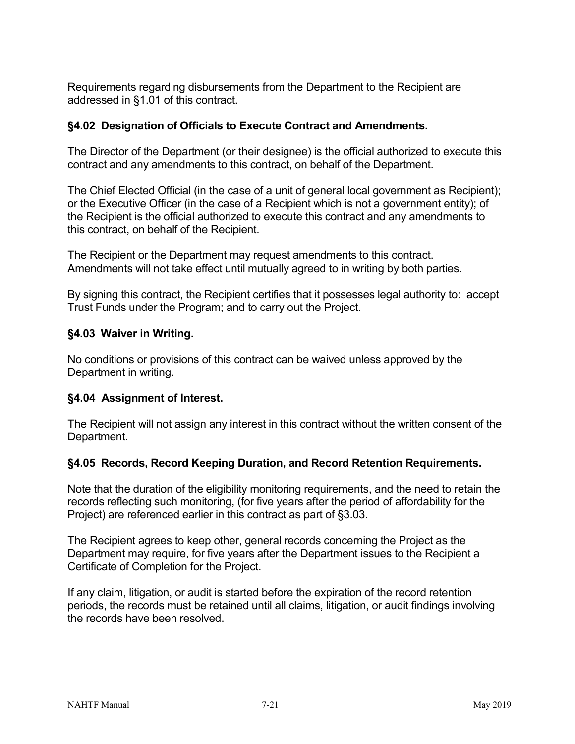Requirements regarding disbursements from the Department to the Recipient are addressed in §1.01 of this contract.

## **§4.02 Designation of Officials to Execute Contract and Amendments.**

The Director of the Department (or their designee) is the official authorized to execute this contract and any amendments to this contract, on behalf of the Department.

The Chief Elected Official (in the case of a unit of general local government as Recipient); or the Executive Officer (in the case of a Recipient which is not a government entity); of the Recipient is the official authorized to execute this contract and any amendments to this contract, on behalf of the Recipient.

The Recipient or the Department may request amendments to this contract. Amendments will not take effect until mutually agreed to in writing by both parties.

By signing this contract, the Recipient certifies that it possesses legal authority to: accept Trust Funds under the Program; and to carry out the Project.

#### **§4.03 Waiver in Writing.**

No conditions or provisions of this contract can be waived unless approved by the Department in writing.

#### **§4.04 Assignment of Interest.**

The Recipient will not assign any interest in this contract without the written consent of the Department.

#### **§4.05 Records, Record Keeping Duration, and Record Retention Requirements.**

Note that the duration of the eligibility monitoring requirements, and the need to retain the records reflecting such monitoring, (for five years after the period of affordability for the Project) are referenced earlier in this contract as part of §3.03.

The Recipient agrees to keep other, general records concerning the Project as the Department may require, for five years after the Department issues to the Recipient a Certificate of Completion for the Project.

If any claim, litigation, or audit is started before the expiration of the record retention periods, the records must be retained until all claims, litigation, or audit findings involving the records have been resolved.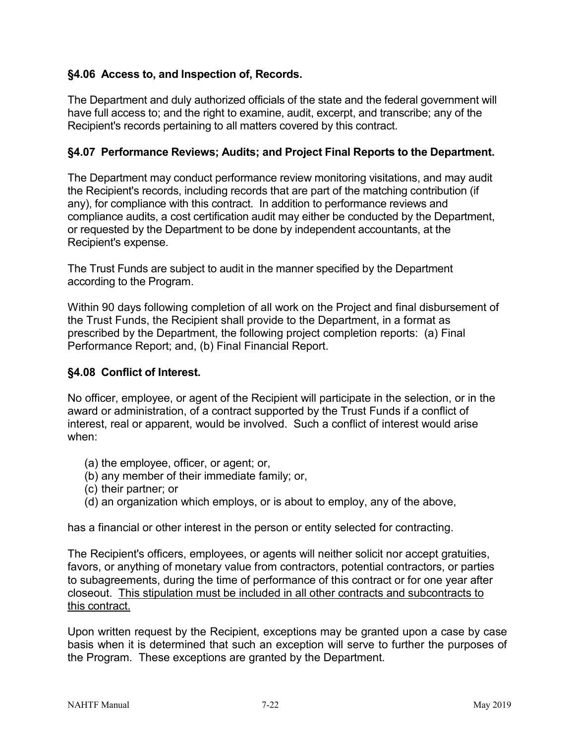## **§4.06 Access to, and Inspection of, Records.**

The Department and duly authorized officials of the state and the federal government will have full access to; and the right to examine, audit, excerpt, and transcribe; any of the Recipient's records pertaining to all matters covered by this contract.

#### **§4.07 Performance Reviews; Audits; and Project Final Reports to the Department.**

The Department may conduct performance review monitoring visitations, and may audit the Recipient's records, including records that are part of the matching contribution (if any), for compliance with this contract. In addition to performance reviews and compliance audits, a cost certification audit may either be conducted by the Department, or requested by the Department to be done by independent accountants, at the Recipient's expense.

The Trust Funds are subject to audit in the manner specified by the Department according to the Program.

Within 90 days following completion of all work on the Project and final disbursement of the Trust Funds, the Recipient shall provide to the Department, in a format as prescribed by the Department, the following project completion reports: (a) Final Performance Report; and, (b) Final Financial Report.

#### **§4.08 Conflict of Interest.**

No officer, employee, or agent of the Recipient will participate in the selection, or in the award or administration, of a contract supported by the Trust Funds if a conflict of interest, real or apparent, would be involved. Such a conflict of interest would arise when:

- (a) the employee, officer, or agent; or,
- (b) any member of their immediate family; or,
- (c) their partner; or
- (d) an organization which employs, or is about to employ, any of the above,

has a financial or other interest in the person or entity selected for contracting.

The Recipient's officers, employees, or agents will neither solicit nor accept gratuities, favors, or anything of monetary value from contractors, potential contractors, or parties to subagreements, during the time of performance of this contract or for one year after closeout. This stipulation must be included in all other contracts and subcontracts to this contract.

Upon written request by the Recipient, exceptions may be granted upon a case by case basis when it is determined that such an exception will serve to further the purposes of the Program. These exceptions are granted by the Department.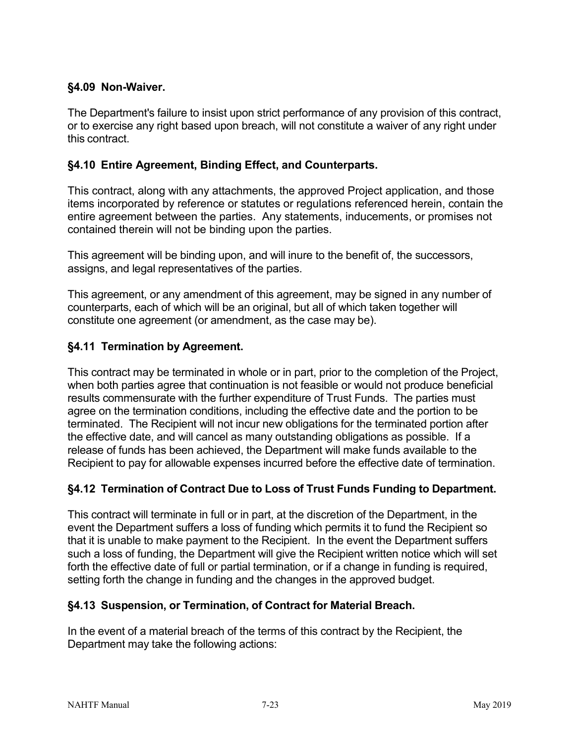## **§4.09 Non-Waiver.**

The Department's failure to insist upon strict performance of any provision of this contract, or to exercise any right based upon breach, will not constitute a waiver of any right under this contract.

## **§4.10 Entire Agreement, Binding Effect, and Counterparts.**

This contract, along with any attachments, the approved Project application, and those items incorporated by reference or statutes or regulations referenced herein, contain the entire agreement between the parties. Any statements, inducements, or promises not contained therein will not be binding upon the parties.

This agreement will be binding upon, and will inure to the benefit of, the successors, assigns, and legal representatives of the parties.

This agreement, or any amendment of this agreement, may be signed in any number of counterparts, each of which will be an original, but all of which taken together will constitute one agreement (or amendment, as the case may be).

## **§4.11 Termination by Agreement.**

This contract may be terminated in whole or in part, prior to the completion of the Project, when both parties agree that continuation is not feasible or would not produce beneficial results commensurate with the further expenditure of Trust Funds. The parties must agree on the termination conditions, including the effective date and the portion to be terminated. The Recipient will not incur new obligations for the terminated portion after the effective date, and will cancel as many outstanding obligations as possible. If a release of funds has been achieved, the Department will make funds available to the Recipient to pay for allowable expenses incurred before the effective date of termination.

## **§4.12 Termination of Contract Due to Loss of Trust Funds Funding to Department.**

This contract will terminate in full or in part, at the discretion of the Department, in the event the Department suffers a loss of funding which permits it to fund the Recipient so that it is unable to make payment to the Recipient. In the event the Department suffers such a loss of funding, the Department will give the Recipient written notice which will set forth the effective date of full or partial termination, or if a change in funding is required, setting forth the change in funding and the changes in the approved budget.

## **§4.13 Suspension, or Termination, of Contract for Material Breach.**

In the event of a material breach of the terms of this contract by the Recipient, the Department may take the following actions: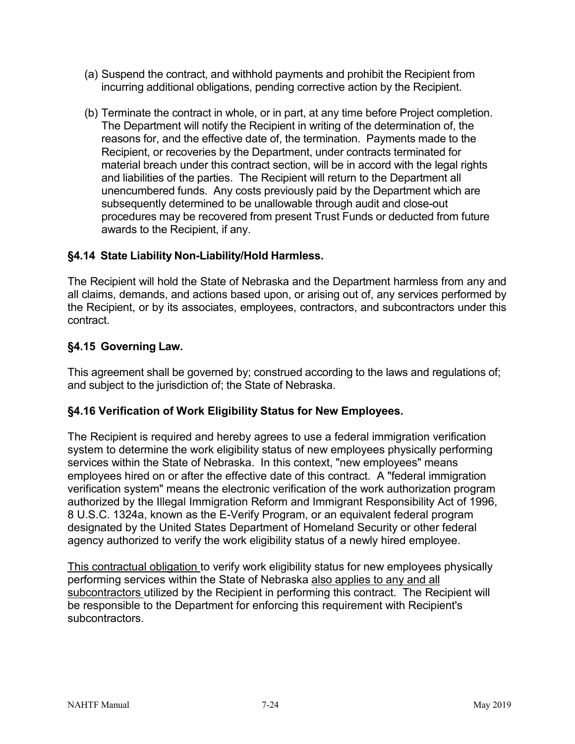- (a) Suspend the contract, and withhold payments and prohibit the Recipient from incurring additional obligations, pending corrective action by the Recipient.
- (b) Terminate the contract in whole, or in part, at any time before Project completion. The Department will notify the Recipient in writing of the determination of, the reasons for, and the effective date of, the termination. Payments made to the Recipient, or recoveries by the Department, under contracts terminated for material breach under this contract section, will be in accord with the legal rights and liabilities of the parties. The Recipient will return to the Department all unencumbered funds. Any costs previously paid by the Department which are subsequently determined to be unallowable through audit and close-out procedures may be recovered from present Trust Funds or deducted from future awards to the Recipient, if any.

## **§4.14 State Liability Non-Liability/Hold Harmless.**

The Recipient will hold the State of Nebraska and the Department harmless from any and all claims, demands, and actions based upon, or arising out of, any services performed by the Recipient, or by its associates, employees, contractors, and subcontractors under this contract.

## **§4.15 Governing Law.**

This agreement shall be governed by; construed according to the laws and regulations of; and subject to the jurisdiction of; the State of Nebraska.

## **§4.16 Verification of Work Eligibility Status for New Employees.**

The Recipient is required and hereby agrees to use a federal immigration verification system to determine the work eligibility status of new employees physically performing services within the State of Nebraska. In this context, "new employees" means employees hired on or after the effective date of this contract. A "federal immigration verification system" means the electronic verification of the work authorization program authorized by the Illegal Immigration Reform and Immigrant Responsibility Act of 1996, 8 U.S.C. 1324a, known as the E-Verify Program, or an equivalent federal program designated by the United States Department of Homeland Security or other federal agency authorized to verify the work eligibility status of a newly hired employee.

This contractual obligation to verify work eligibility status for new employees physically performing services within the State of Nebraska also applies to any and all subcontractors utilized by the Recipient in performing this contract. The Recipient will be responsible to the Department for enforcing this requirement with Recipient's subcontractors.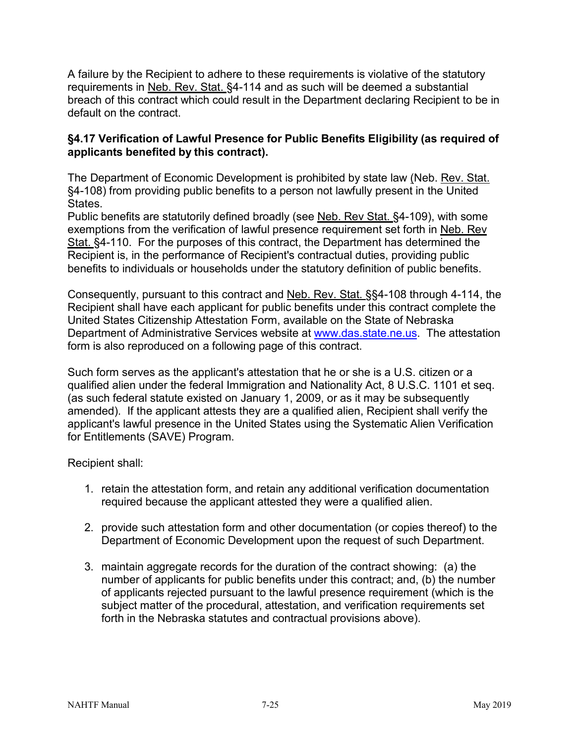A failure by the Recipient to adhere to these requirements is violative of the statutory requirements in Neb. Rev. Stat. §4-114 and as such will be deemed a substantial breach of this contract which could result in the Department declaring Recipient to be in default on the contract.

## **§4.17 Verification of Lawful Presence for Public Benefits Eligibility (as required of applicants benefited by this contract).**

The Department of Economic Development is prohibited by state law (Neb. Rev. Stat. §4-108) from providing public benefits to a person not lawfully present in the United States.

Public benefits are statutorily defined broadly (see Neb. Rev Stat. §4-109), with some exemptions from the verification of lawful presence requirement set forth in Neb. Rev Stat. §4-110. For the purposes of this contract, the Department has determined the Recipient is, in the performance of Recipient's contractual duties, providing public benefits to individuals or households under the statutory definition of public benefits.

Consequently, pursuant to this contract and Neb. Rev. Stat. §§4-108 through 4-114, the Recipient shall have each applicant for public benefits under this contract complete the United States Citizenship Attestation Form, available on the State of Nebraska Department of Administrative Services website at [www.das.state.ne.us.](http://www.das.state.ne.us/) The attestation form is also reproduced on a following page of this contract.

Such form serves as the applicant's attestation that he or she is a U.S. citizen or a qualified alien under the federal Immigration and Nationality Act, 8 U.S.C. 1101 et seq. (as such federal statute existed on January 1, 2009, or as it may be subsequently amended). If the applicant attests they are a qualified alien, Recipient shall verify the applicant's lawful presence in the United States using the Systematic Alien Verification for Entitlements (SAVE) Program.

Recipient shall:

- 1. retain the attestation form, and retain any additional verification documentation required because the applicant attested they were a qualified alien.
- 2. provide such attestation form and other documentation (or copies thereof) to the Department of Economic Development upon the request of such Department.
- 3. maintain aggregate records for the duration of the contract showing: (a) the number of applicants for public benefits under this contract; and, (b) the number of applicants rejected pursuant to the lawful presence requirement (which is the subject matter of the procedural, attestation, and verification requirements set forth in the Nebraska statutes and contractual provisions above).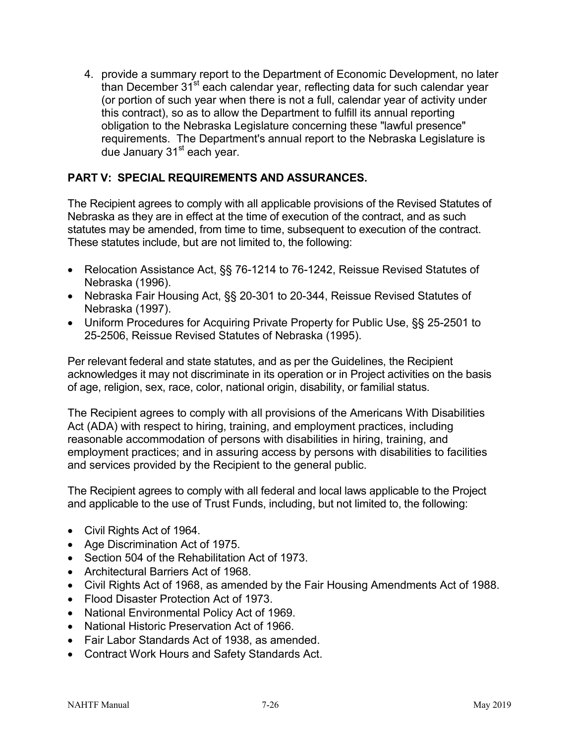4. provide a summary report to the Department of Economic Development, no later than December 31<sup>st</sup> each calendar year, reflecting data for such calendar year (or portion of such year when there is not a full, calendar year of activity under this contract), so as to allow the Department to fulfill its annual reporting obligation to the Nebraska Legislature concerning these "lawful presence" requirements. The Department's annual report to the Nebraska Legislature is due January 31<sup>st</sup> each year.

## **PART V: SPECIAL REQUIREMENTS AND ASSURANCES.**

The Recipient agrees to comply with all applicable provisions of the Revised Statutes of Nebraska as they are in effect at the time of execution of the contract, and as such statutes may be amended, from time to time, subsequent to execution of the contract. These statutes include, but are not limited to, the following:

- Relocation Assistance Act, §§ 76-1214 to 76-1242, Reissue Revised Statutes of Nebraska (1996).
- Nebraska Fair Housing Act, §§ 20-301 to 20-344, Reissue Revised Statutes of Nebraska (1997).
- Uniform Procedures for Acquiring Private Property for Public Use, §§ 25-2501 to 25-2506, Reissue Revised Statutes of Nebraska (1995).

Per relevant federal and state statutes, and as per the Guidelines, the Recipient acknowledges it may not discriminate in its operation or in Project activities on the basis of age, religion, sex, race, color, national origin, disability, or familial status.

The Recipient agrees to comply with all provisions of the Americans With Disabilities Act (ADA) with respect to hiring, training, and employment practices, including reasonable accommodation of persons with disabilities in hiring, training, and employment practices; and in assuring access by persons with disabilities to facilities and services provided by the Recipient to the general public.

The Recipient agrees to comply with all federal and local laws applicable to the Project and applicable to the use of Trust Funds, including, but not limited to, the following:

- Civil Rights Act of 1964.
- Age Discrimination Act of 1975.
- Section 504 of the Rehabilitation Act of 1973.
- Architectural Barriers Act of 1968.
- Civil Rights Act of 1968, as amended by the Fair Housing Amendments Act of 1988.
- Flood Disaster Protection Act of 1973.
- National Environmental Policy Act of 1969.
- National Historic Preservation Act of 1966.
- Fair Labor Standards Act of 1938, as amended.
- Contract Work Hours and Safety Standards Act.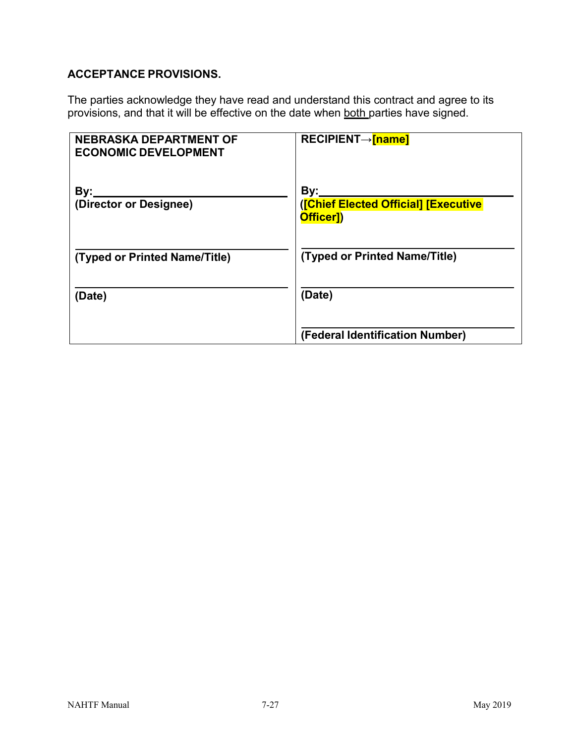## **ACCEPTANCE PROVISIONS.**

The parties acknowledge they have read and understand this contract and agree to its provisions, and that it will be effective on the date when <u>both p</u>arties have signed.

| <b>NEBRASKA DEPARTMENT OF</b><br><b>ECONOMIC DEVELOPMENT</b> | $RECIPIENT \rightarrow$ [name]      |
|--------------------------------------------------------------|-------------------------------------|
| By:                                                          | By:                                 |
|                                                              |                                     |
| (Director or Designee)                                       | (Chief Elected Official] [Executive |
|                                                              | Officer <sub>1</sub>                |
|                                                              |                                     |
| (Typed or Printed Name/Title)                                | (Typed or Printed Name/Title)       |
|                                                              |                                     |
| (Date)                                                       | (Date)                              |
|                                                              |                                     |
|                                                              | (Federal Identification Number)     |
|                                                              |                                     |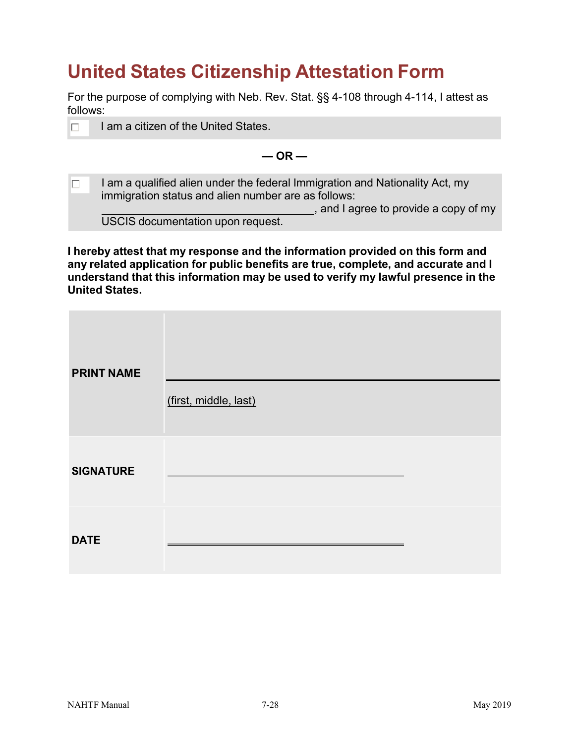# **United States Citizenship Attestation Form**

For the purpose of complying with Neb. Rev. Stat. §§ 4-108 through 4-114, I attest as follows:

ID.

I am a citizen of the United States.

#### **— OR —**

n. I am a qualified alien under the federal Immigration and Nationality Act, my immigration status and alien number are as follows: , and I agree to provide a copy of my USCIS documentation upon request.

**I hereby attest that my response and the information provided on this form and any related application for public benefits are true, complete, and accurate and I understand that this information may be used to verify my lawful presence in the United States.**

| <b>PRINT NAME</b> | (first, middle, last) |  |
|-------------------|-----------------------|--|
| <b>SIGNATURE</b>  |                       |  |
| <b>DATE</b>       |                       |  |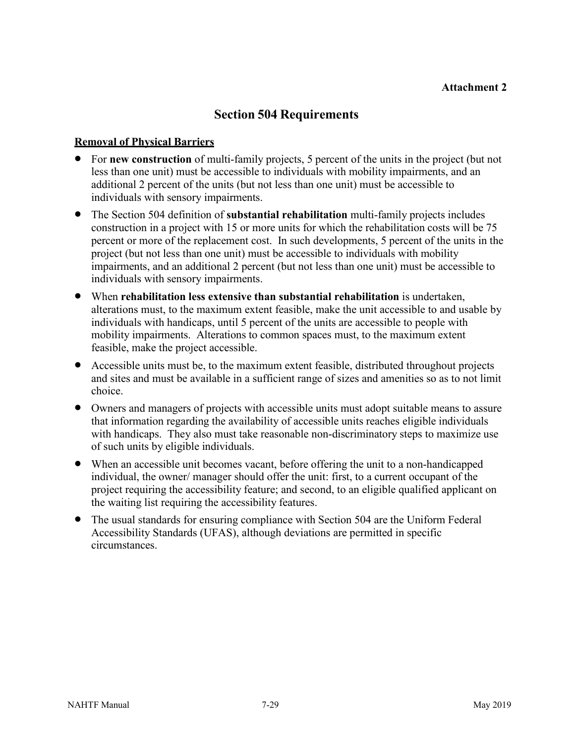## **Section 504 Requirements**

#### **Removal of Physical Barriers**

- For **new construction** of multi-family projects, 5 percent of the units in the project (but not less than one unit) must be accessible to individuals with mobility impairments, and an additional 2 percent of the units (but not less than one unit) must be accessible to individuals with sensory impairments.
- The Section 504 definition of **substantial rehabilitation** multi-family projects includes construction in a project with 15 or more units for which the rehabilitation costs will be 75 percent or more of the replacement cost. In such developments, 5 percent of the units in the project (but not less than one unit) must be accessible to individuals with mobility impairments, and an additional 2 percent (but not less than one unit) must be accessible to individuals with sensory impairments.
- When **rehabilitation less extensive than substantial rehabilitation** is undertaken, alterations must, to the maximum extent feasible, make the unit accessible to and usable by individuals with handicaps, until 5 percent of the units are accessible to people with mobility impairments. Alterations to common spaces must, to the maximum extent feasible, make the project accessible.
- Accessible units must be, to the maximum extent feasible, distributed throughout projects and sites and must be available in a sufficient range of sizes and amenities so as to not limit choice.
- Owners and managers of projects with accessible units must adopt suitable means to assure that information regarding the availability of accessible units reaches eligible individuals with handicaps. They also must take reasonable non-discriminatory steps to maximize use of such units by eligible individuals.
- When an accessible unit becomes vacant, before offering the unit to a non-handicapped individual, the owner/ manager should offer the unit: first, to a current occupant of the project requiring the accessibility feature; and second, to an eligible qualified applicant on the waiting list requiring the accessibility features.
- The usual standards for ensuring compliance with Section 504 are the Uniform Federal Accessibility Standards (UFAS), although deviations are permitted in specific circumstances.